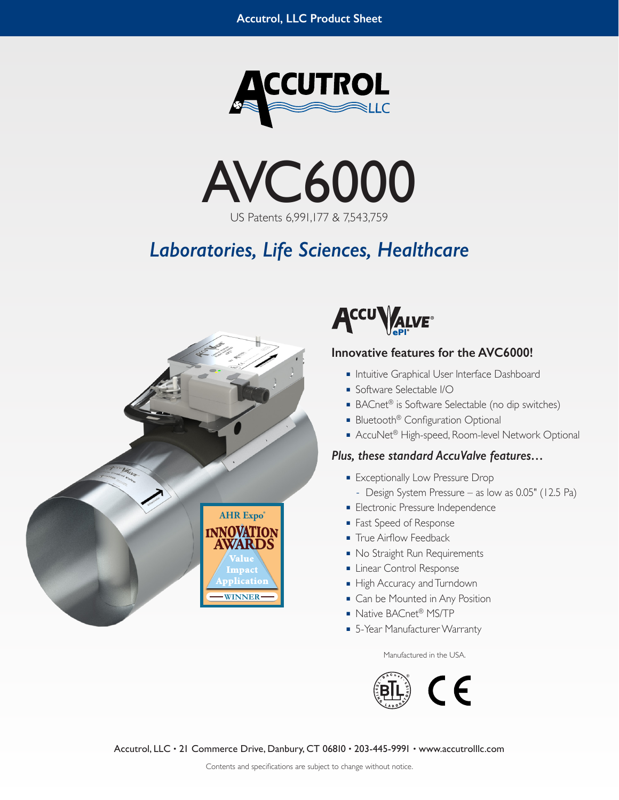



# *Laboratories, Life Sciences, Healthcare*





## **Innovative features for the AVC6000!**

- Intuitive Graphical User Interface Dashboard
- Software Selectable I/O
- BACnet<sup>®</sup> is Software Selectable (no dip switches)
- Bluetooth<sup>®</sup> Configuration Optional
- AccuNet<sup>®</sup> High-speed, Room-level Network Optional

## *Plus, these standard AccuValve features…*

- Exceptionally Low Pressure Drop
- **–** Design System Pressure as low as 0.05" (12.5 Pa)
- Electronic Pressure Independence
- Fast Speed of Response
- True Airflow Feedback
- No Straight Run Requirements
- Linear Control Response
- High Accuracy and Turndown
- Can be Mounted in Any Position
- Native BACnet<sup>®</sup> MS/TP
- 5-Year Manufacturer Warranty

Manufactured in the USA.



Accutrol, LLC • 21 Commerce Drive, Danbury, CT 06810 • 203-445-9991 • www.accutrolllc.com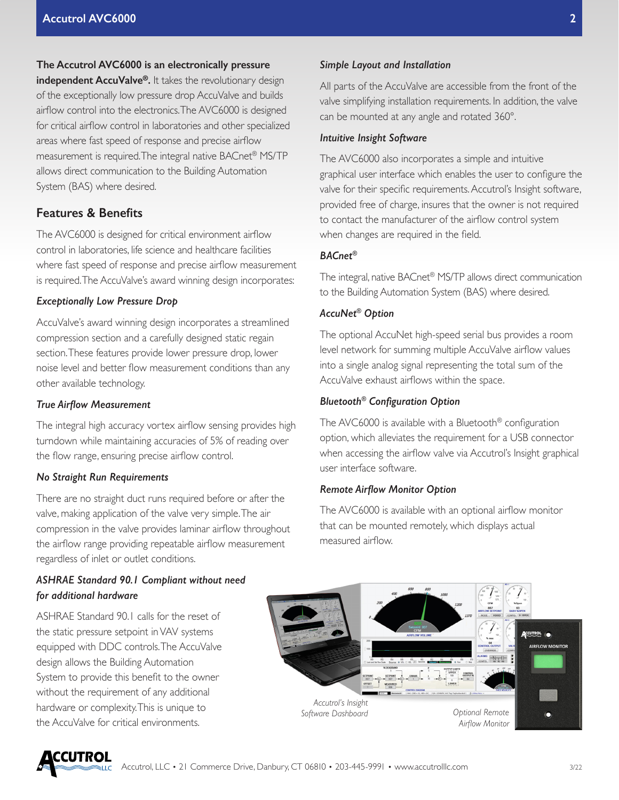#### **The Accutrol AVC6000 is an electronically pressure**

**independent AccuValve®.** It takes the revolutionary design of the exceptionally low pressure drop AccuValve and builds airflow control into the electronics. The AVC6000 is designed for critical airflow control in laboratories and other specialized areas where fast speed of response and precise airflow measurement is required. The integral native BACnet® MS/TP allows direct communication to the Building Automation System (BAS) where desired.

## **Features & Benefits**

The AVC6000 is designed for critical environment airflow control in laboratories, life science and healthcare facilities where fast speed of response and precise airflow measurement is required. The AccuValve's award winning design incorporates:

#### *Exceptionally Low Pressure Drop*

AccuValve's award winning design incorporates a streamlined compression section and a carefully designed static regain section. These features provide lower pressure drop, lower noise level and better flow measurement conditions than any other available technology.

#### *True Airflow Measurement*

The integral high accuracy vortex airflow sensing provides high turndown while maintaining accuracies of 5% of reading over the flow range, ensuring precise airflow control.

#### *No Straight Run Requirements*

There are no straight duct runs required before or after the valve, making application of the valve very simple. The air compression in the valve provides laminar airflow throughout the airflow range providing repeatable airflow measurement regardless of inlet or outlet conditions.

### *ASHRAE Standard 90.1 Compliant without need for additional hardware*

ASHRAE Standard 90.1 calls for the reset of the static pressure setpoint in VAV systems equipped with DDC controls. The AccuValve design allows the Building Automation System to provide this benefit to the owner without the requirement of any additional hardware or complexity. This is unique to the AccuValve for critical environments.

#### *Simple Layout and Installation*

All parts of the AccuValve are accessible from the front of the valve simplifying installation requirements. In addition, the valve can be mounted at any angle and rotated 360°.

#### *Intuitive Insight Software*

The AVC6000 also incorporates a simple and intuitive graphical user interface which enables the user to configure the valve for their specific requirements. Accutrol's Insight software, provided free of charge, insures that the owner is not required to contact the manufacturer of the airflow control system when changes are required in the field.

#### *BACnet®*

The integral, native BACnet® MS/TP allows direct communication to the Building Automation System (BAS) where desired.

#### *AccuNet® Option*

The optional AccuNet high-speed serial bus provides a room level network for summing multiple AccuValve airflow values into a single analog signal representing the total sum of the AccuValve exhaust airflows within the space.

#### *Bluetooth® Configuration Option*

The AVC6000 is available with a Bluetooth® configuration option, which alleviates the requirement for a USB connector when accessing the airflow valve via Accutrol's Insight graphical user interface software.

#### *Remote Airflow Monitor Option*

The AVC6000 is available with an optional airflow monitor that can be mounted remotely, which displays actual measured airflow.



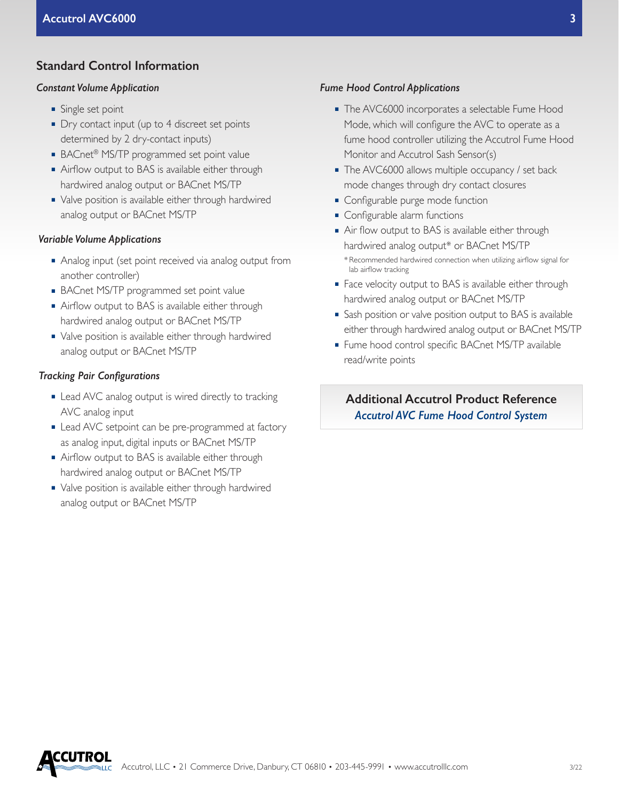## **Standard Control Information**

#### *Constant Volume Application*

- Single set point
- Dry contact input (up to 4 discreet set points determined by 2 dry-contact inputs)
- BACnet<sup>®</sup> MS/TP programmed set point value
- Airflow output to BAS is available either through hardwired analog output or BACnet MS/TP
- Valve position is available either through hardwired analog output or BACnet MS/TP

#### *Variable Volume Applications*

- Analog input (set point received via analog output from another controller)
- BACnet MS/TP programmed set point value
- Airflow output to BAS is available either through hardwired analog output or BACnet MS/TP
- Valve position is available either through hardwired analog output or BACnet MS/TP

#### *Tracking Pair Configurations*

- Lead AVC analog output is wired directly to tracking AVC analog input
- Lead AVC setpoint can be pre-programmed at factory as analog input, digital inputs or BACnet MS/TP
- Airflow output to BAS is available either through hardwired analog output or BACnet MS/TP
- Valve position is available either through hardwired analog output or BACnet MS/TP

#### *Fume Hood Control Applications*

- The AVC6000 incorporates a selectable Fume Hood Mode, which will configure the AVC to operate as a fume hood controller utilizing the Accutrol Fume Hood Monitor and Accutrol Sash Sensor(s)
- The AVC6000 allows multiple occupancy / set back mode changes through dry contact closures
- Configurable purge mode function
- Configurable alarm functions
- Air flow output to BAS is available either through hardwired analog output\* or BACnet MS/TP \* Recommended hardwired connection when utilizing airflow signal for lab airflow tracking
- Face velocity output to BAS is available either through hardwired analog output or BACnet MS/TP
- Sash position or valve position output to BAS is available either through hardwired analog output or BACnet MS/TP
- Fume hood control specific BACnet MS/TP available read/write points

**Additional Accutrol Product Reference** *Accutrol AVC Fume Hood Control System*

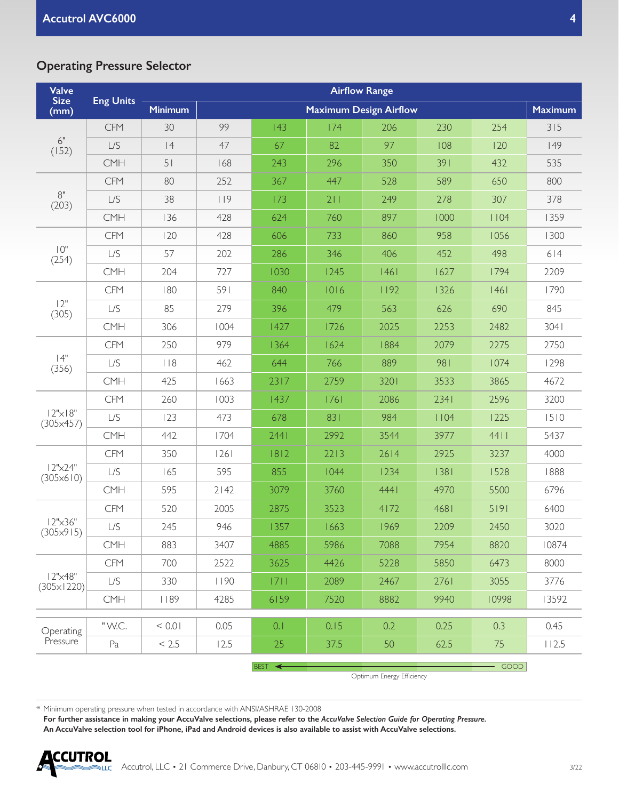## **Operating Pressure Selector**

| <b>Valve</b><br><b>Size</b><br>(mm)    | <b>Eng Units</b> | <b>Airflow Range</b> |      |        |                               |      |      |       |                |
|----------------------------------------|------------------|----------------------|------|--------|-------------------------------|------|------|-------|----------------|
|                                        |                  | <b>Minimum</b>       |      |        | <b>Maximum Design Airflow</b> |      |      |       | <b>Maximum</b> |
| $6"$<br>(152)                          | <b>CFM</b>       | 30                   | 99   | 43     | 174                           | 206  | 230  | 254   | 315            |
|                                        | L/S              | 4                    | 47   | 67     | 82                            | 97   | 108  | 120   | 149            |
|                                        | CMH              | 51                   | 168  | 243    | 296                           | 350  | 391  | 432   | 535            |
| $8"$<br>(203)                          | <b>CFM</b>       | 80                   | 252  | 367    | 447                           | 528  | 589  | 650   | 800            |
|                                        | $L/S$            | 38                   | 119  | 173    | 211                           | 249  | 278  | 307   | 378            |
|                                        | <b>CMH</b>       | 136                  | 428  | 624    | 760                           | 897  | 1000 | 1104  | 1359           |
| $10"$<br>(254)                         | <b>CFM</b>       | 120                  | 428  | 606    | 733                           | 860  | 958  | 1056  | 1300           |
|                                        | L/S              | 57                   | 202  | 286    | 346                           | 406  | 452  | 498   | 614            |
|                                        | CMH              | 204                  | 727  | 1030   | 1245                          | 1461 | 1627 | 1794  | 2209           |
| 12"<br>(305)                           | <b>CFM</b>       | 180                  | 591  | 840    | 1016                          | 1192 | 1326 | 1461  | 1790           |
|                                        | L/S              | 85                   | 279  | 396    | 479                           | 563  | 626  | 690   | 845            |
|                                        | <b>CMH</b>       | 306                  | 1004 | 1427   | 1726                          | 2025 | 2253 | 2482  | 3041           |
| 4"<br>(356)                            | <b>CFM</b>       | 250                  | 979  | 1364   | 1624                          | 1884 | 2079 | 2275  | 2750           |
|                                        | L/S              | $ $ $ $ $ $ $ $      | 462  | 644    | 766                           | 889  | 981  | 1074  | 1298           |
|                                        | CMH              | 425                  | 1663 | 2317   | 2759                          | 3201 | 3533 | 3865  | 4672           |
| $ 2" \times  8"$<br>(305x457)          | <b>CFM</b>       | 260                  | 1003 | 1437   | 1761                          | 2086 | 2341 | 2596  | 3200           |
|                                        | L/S              | 123                  | 473  | 678    | 831                           | 984  | 1104 | 1225  | 1510           |
|                                        | <b>CMH</b>       | 442                  | 1704 | 2441   | 2992                          | 3544 | 3977 | 44    | 5437           |
| 12"x24"<br>$(305 \times 610)$          | <b>CFM</b>       | 350                  | 26   | 1812   | 2213                          | 2614 | 2925 | 3237  | 4000           |
|                                        | L/S              | 165                  | 595  | 855    | 1044                          | 1234 | 38   | 1528  | 1888           |
|                                        | CMH              | 595                  | 2142 | 3079   | 3760                          | 4441 | 4970 | 5500  | 6796           |
| $12" \times 36"$<br>$(305 \times 915)$ | <b>CFM</b>       | 520                  | 2005 | 2875   | 3523                          | 4172 | 4681 | 5 9   | 6400           |
|                                        | L/S              | 245                  | 946  | 1357   | 1663                          | 1969 | 2209 | 2450  | 3020           |
|                                        | CMH              | 883                  | 3407 | 4885   | 5986                          | 7088 | 7954 | 8820  | 10874          |
| 12"x48"<br>$(305 \times 1220)$         | <b>CFM</b>       | 700                  | 2522 | 3625   | 4426                          | 5228 | 5850 | 6473  | 8000           |
|                                        | L/S              | 330                  | 1190 | 7      | 2089                          | 2467 | 2761 | 3055  | 3776           |
|                                        | CMH              | 189                  | 4285 | 6159   | 7520                          | 8882 | 9940 | 10998 | 13592          |
|                                        | "W.C.            |                      |      |        |                               |      |      |       |                |
| Operating<br>Pressure                  |                  | < 0.01               | 0.05 | 0.1    | 0.15                          | 0.2  | 0.25 | 0.3   | 0.45           |
|                                        | Pa               | < 2.5                | 12.5 | 25     | 37.5                          | 50   | 62.5 | 75    | 112.5          |
|                                        |                  |                      |      | BEST < |                               |      |      | GOOD  |                |

Optimum Energy Efficiency

\* Minimum operating pressure when tested in accordance with ANSI/ASHRAE 130-2008

**For further assistance in making your AccuValve selections, please refer to the** *AccuValve Selection Guide for Operating Pressure.* **An AccuValve selection tool for iPhone, iPad and Android devices is also available to assist with AccuValve selections.**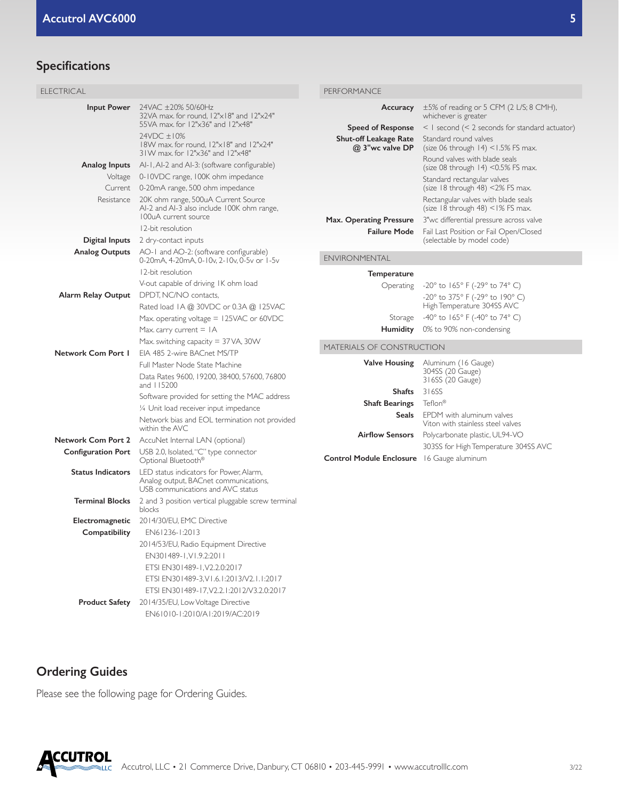# **Specifications**

| <b>ELECTRICAL</b>         |                                                                                                                       | PERFORMANCE                                       |                                                                                  |  |  |
|---------------------------|-----------------------------------------------------------------------------------------------------------------------|---------------------------------------------------|----------------------------------------------------------------------------------|--|--|
| <b>Input Power</b>        | 24VAC ±20% 50/60Hz<br>32VA max. for round, 12"x18" and 12"x24"                                                        | Accuracy                                          | $\pm 5\%$ of reading or 5 CFM (2 L/S; 8 CMH),<br>whichever is greater            |  |  |
|                           | 55VA max. for 12"x36" and 12"x48"                                                                                     | <b>Speed of Response</b>                          | $<$ I second ( $<$ 2 seconds for standard actuator)                              |  |  |
|                           | 24VDC ±10%<br>18W max. for round, 12"x18" and 12"x24"<br>31W max. for 12"x36" and 12"x48"                             | <b>Shut-off Leakage Rate</b><br>@ 3"wc valve DP   | Standard round valves<br>(size 06 through $14$ ) < $1.5\%$ FS max.               |  |  |
|                           | <b>Analog Inputs</b> Al-1, Al-2 and Al-3: (software configurable)                                                     |                                                   | Round valves with blade seals<br>(size 08 through $14$ ) <0.5% FS max.           |  |  |
|                           | Voltage 0-10VDC range, 100K ohm impedance                                                                             |                                                   | Standard rectangular valves                                                      |  |  |
|                           | Current 0-20mA range, 500 ohm impedance                                                                               |                                                   | (size $18$ through $48$ ) <2% FS max.                                            |  |  |
|                           | Resistance 20K ohm range, 500uA Current Source<br>Al-2 and Al-3 also include 100K ohm range,                          |                                                   | Rectangular valves with blade seals<br>(size $18$ through $48$ ) < $1\%$ FS max. |  |  |
|                           | 100uA current source                                                                                                  | Max. Operating Pressure                           | 3"wc differential pressure across valve                                          |  |  |
|                           | 12-bit resolution                                                                                                     | <b>Failure Mode</b>                               | Fail Last Position or Fail Open/Closed                                           |  |  |
| Digital Inputs            | 2 dry-contact inputs                                                                                                  |                                                   | (selectable by model code)                                                       |  |  |
| <b>Analog Outputs</b>     | AO-1 and AO-2: (software configurable)<br>0-20mA, 4-20mA, 0-10v, 2-10v, 0-5v or 1-5v                                  | <b>ENVIRONMENTAL</b>                              |                                                                                  |  |  |
|                           | 12-bit resolution                                                                                                     | Temperature                                       |                                                                                  |  |  |
|                           | V-out capable of driving IK ohm load                                                                                  | Operating                                         | $-20^{\circ}$ to 165° F (-29° to 74° C)                                          |  |  |
| Alarm Relay Output        | DPDT, NC/NO contacts,<br>Rated load IA @ 30VDC or 0.3A @ 125VAC                                                       |                                                   | -20° to 375° F (-29° to 190° C)<br>High Temperature 304SS AVC                    |  |  |
|                           | Max. operating voltage $= 125$ VAC or 60VDC                                                                           | Storage                                           | -40 $^{\circ}$ to 165 $^{\circ}$ F (-40 $^{\circ}$ to 74 $^{\circ}$ C)           |  |  |
|                           | Max. carry current $=$ IA                                                                                             | <b>Humidity</b>                                   | 0% to 90% non-condensing                                                         |  |  |
|                           | Max. switching capacity $=$ 37 VA, 30 W                                                                               |                                                   |                                                                                  |  |  |
| Network Com Port I        | EIA 485 2-wire BACnet MS/TP                                                                                           | <b>MATERIALS OF CONSTRUCTION</b>                  |                                                                                  |  |  |
|                           | Full Master Node State Machine                                                                                        | <b>Valve Housing</b>                              | Aluminum (16 Gauge)                                                              |  |  |
|                           | Data Rates 9600, 19200, 38400, 57600, 76800<br>and 115200                                                             |                                                   | 304SS (20 Gauge)<br>316SS (20 Gauge)                                             |  |  |
|                           |                                                                                                                       | Shafts                                            | 316SS                                                                            |  |  |
|                           | Software provided for setting the MAC address                                                                         | <b>Shaft Bearings</b>                             | Teflon®                                                                          |  |  |
|                           | 1/4 Unit load receiver input impedance<br>Network bias and EOL termination not provided                               | Seals                                             | EPDM with aluminum valves<br>Viton with stainless steel valves                   |  |  |
|                           | within the AVC                                                                                                        | <b>Airflow Sensors</b>                            | Polycarbonate plastic, UL94-VO                                                   |  |  |
| <b>Network Com Port 2</b> | AccuNet Internal LAN (optional)                                                                                       |                                                   | 303SS for High Temperature 304SS AVC                                             |  |  |
| <b>Configuration Port</b> | USB 2.0, Isolated, "C" type connector<br>Optional Bluetooth <sup>®</sup>                                              | <b>Control Module Enclosure</b> 16 Gauge aluminum |                                                                                  |  |  |
| <b>Status Indicators</b>  | LED status indicators for Power, Alarm,<br>Analog output, BACnet communications,<br>USB communications and AVC status |                                                   |                                                                                  |  |  |
| <b>Terminal Blocks</b>    | 2 and 3 position vertical pluggable screw terminal<br>blocks                                                          |                                                   |                                                                                  |  |  |
| Electromagnetic           | 2014/30/EU, EMC Directive                                                                                             |                                                   |                                                                                  |  |  |
| Compatibility             | EN61236-1:2013                                                                                                        |                                                   |                                                                                  |  |  |
|                           | 2014/53/EU, Radio Equipment Directive                                                                                 |                                                   |                                                                                  |  |  |
|                           | EN301489-1.V1.9.2:2011                                                                                                |                                                   |                                                                                  |  |  |
|                           | ETSI EN301489-1, V2.2.0:2017                                                                                          |                                                   |                                                                                  |  |  |
|                           | ETSI EN301489-3, VI.6.1:2013/V2.1.1:2017                                                                              |                                                   |                                                                                  |  |  |
|                           | ETSI EN301489-17, V2.2.1:2012/V3.2.0:2017                                                                             |                                                   |                                                                                  |  |  |

# **Ordering Guides**

Please see the following page for Ordering Guides.

**Product Safety** 2014/35/EU, Low Voltage Directive

EN61010-1:2010/A1:2019/AC:2019